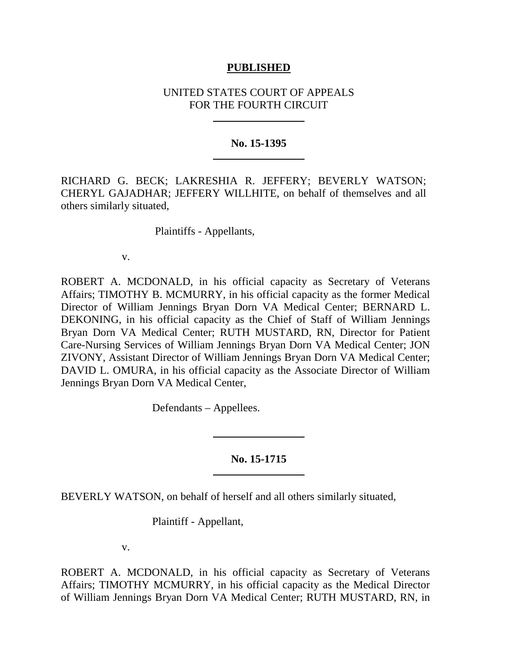## **PUBLISHED**

# UNITED STATES COURT OF APPEALS FOR THE FOURTH CIRCUIT

## **No. 15-1395**

RICHARD G. BECK; LAKRESHIA R. JEFFERY; BEVERLY WATSON; CHERYL GAJADHAR; JEFFERY WILLHITE, on behalf of themselves and all others similarly situated,

Plaintiffs - Appellants,

v.

ROBERT A. MCDONALD, in his official capacity as Secretary of Veterans Affairs; TIMOTHY B. MCMURRY, in his official capacity as the former Medical Director of William Jennings Bryan Dorn VA Medical Center; BERNARD L. DEKONING, in his official capacity as the Chief of Staff of William Jennings Bryan Dorn VA Medical Center; RUTH MUSTARD, RN, Director for Patient Care-Nursing Services of William Jennings Bryan Dorn VA Medical Center; JON ZIVONY, Assistant Director of William Jennings Bryan Dorn VA Medical Center; DAVID L. OMURA, in his official capacity as the Associate Director of William Jennings Bryan Dorn VA Medical Center,

Defendants – Appellees.

# **No. 15-1715**

BEVERLY WATSON, on behalf of herself and all others similarly situated,

Plaintiff - Appellant,

v.

ROBERT A. MCDONALD, in his official capacity as Secretary of Veterans Affairs; TIMOTHY MCMURRY, in his official capacity as the Medical Director of William Jennings Bryan Dorn VA Medical Center; RUTH MUSTARD, RN, in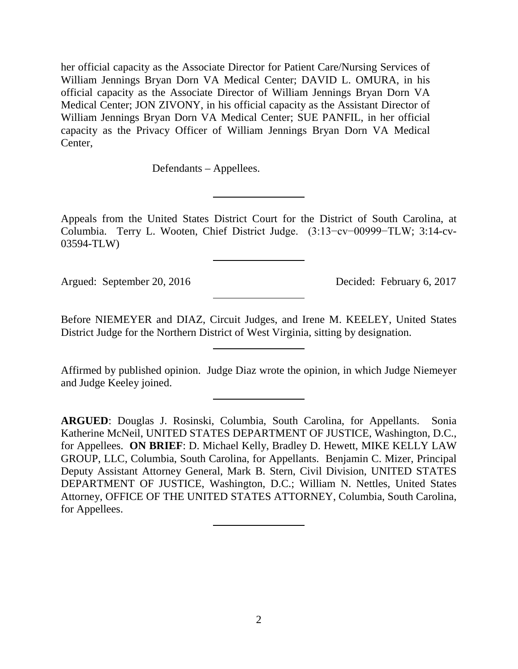her official capacity as the Associate Director for Patient Care/Nursing Services of William Jennings Bryan Dorn VA Medical Center; DAVID L. OMURA, in his official capacity as the Associate Director of William Jennings Bryan Dorn VA Medical Center; JON ZIVONY, in his official capacity as the Assistant Director of William Jennings Bryan Dorn VA Medical Center; SUE PANFIL, in her official capacity as the Privacy Officer of William Jennings Bryan Dorn VA Medical Center,

Defendants – Appellees.

Appeals from the United States District Court for the District of South Carolina, at Columbia. Terry L. Wooten, Chief District Judge. (3:13−cv−00999−TLW; 3:14-cv-03594-TLW)

Argued: September 20, 2016 Decided: February 6, 2017

Before NIEMEYER and DIAZ, Circuit Judges, and Irene M. KEELEY, United States District Judge for the Northern District of West Virginia, sitting by designation.

Affirmed by published opinion. Judge Diaz wrote the opinion, in which Judge Niemeyer and Judge Keeley joined.

**ARGUED**: Douglas J. Rosinski, Columbia, South Carolina, for Appellants. Sonia Katherine McNeil, UNITED STATES DEPARTMENT OF JUSTICE, Washington, D.C., for Appellees. **ON BRIEF**: D. Michael Kelly, Bradley D. Hewett, MIKE KELLY LAW GROUP, LLC, Columbia, South Carolina, for Appellants. Benjamin C. Mizer, Principal Deputy Assistant Attorney General, Mark B. Stern, Civil Division, UNITED STATES DEPARTMENT OF JUSTICE, Washington, D.C.; William N. Nettles, United States Attorney, OFFICE OF THE UNITED STATES ATTORNEY, Columbia, South Carolina, for Appellees.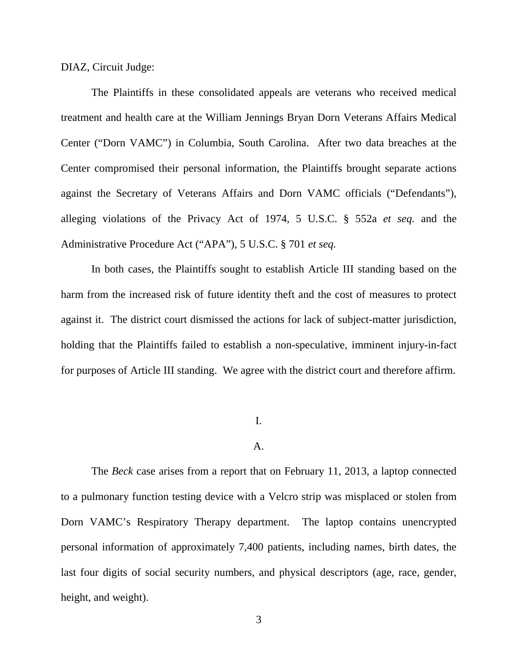DIAZ, Circuit Judge:

The Plaintiffs in these consolidated appeals are veterans who received medical treatment and health care at the William Jennings Bryan Dorn Veterans Affairs Medical Center ("Dorn VAMC") in Columbia, South Carolina. After two data breaches at the Center compromised their personal information, the Plaintiffs brought separate actions against the Secretary of Veterans Affairs and Dorn VAMC officials ("Defendants"), alleging violations of the Privacy Act of 1974, 5 U.S.C. § 552a *et seq.* and the Administrative Procedure Act ("APA"), 5 U.S.C. § 701 *et seq.*

In both cases, the Plaintiffs sought to establish Article III standing based on the harm from the increased risk of future identity theft and the cost of measures to protect against it. The district court dismissed the actions for lack of subject-matter jurisdiction, holding that the Plaintiffs failed to establish a non-speculative, imminent injury-in-fact for purposes of Article III standing. We agree with the district court and therefore affirm.

## I.

## A.

The *Beck* case arises from a report that on February 11, 2013, a laptop connected to a pulmonary function testing device with a Velcro strip was misplaced or stolen from Dorn VAMC's Respiratory Therapy department. The laptop contains unencrypted personal information of approximately 7,400 patients, including names, birth dates, the last four digits of social security numbers, and physical descriptors (age, race, gender, height, and weight).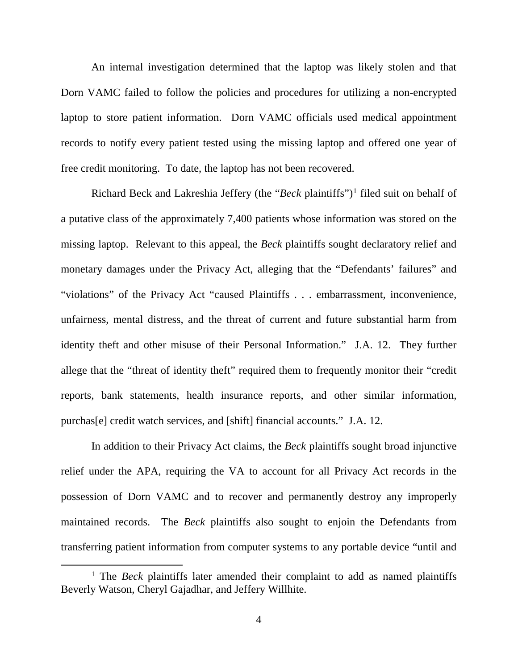An internal investigation determined that the laptop was likely stolen and that Dorn VAMC failed to follow the policies and procedures for utilizing a non-encrypted laptop to store patient information. Dorn VAMC officials used medical appointment records to notify every patient tested using the missing laptop and offered one year of free credit monitoring. To date, the laptop has not been recovered.

Richard Beck and Lakreshia Jeffery (the "*Beck* plaintiffs")<sup>[1](#page-3-0)</sup> filed suit on behalf of a putative class of the approximately 7,400 patients whose information was stored on the missing laptop. Relevant to this appeal, the *Beck* plaintiffs sought declaratory relief and monetary damages under the Privacy Act, alleging that the "Defendants' failures" and "violations" of the Privacy Act "caused Plaintiffs . . . embarrassment, inconvenience, unfairness, mental distress, and the threat of current and future substantial harm from identity theft and other misuse of their Personal Information." J.A. 12. They further allege that the "threat of identity theft" required them to frequently monitor their "credit reports, bank statements, health insurance reports, and other similar information, purchas[e] credit watch services, and [shift] financial accounts." J.A. 12.

In addition to their Privacy Act claims, the *Beck* plaintiffs sought broad injunctive relief under the APA, requiring the VA to account for all Privacy Act records in the possession of Dorn VAMC and to recover and permanently destroy any improperly maintained records. The *Beck* plaintiffs also sought to enjoin the Defendants from transferring patient information from computer systems to any portable device "until and

<span id="page-3-0"></span><sup>&</sup>lt;sup>1</sup> The *Beck* plaintiffs later amended their complaint to add as named plaintiffs Beverly Watson, Cheryl Gajadhar, and Jeffery Willhite.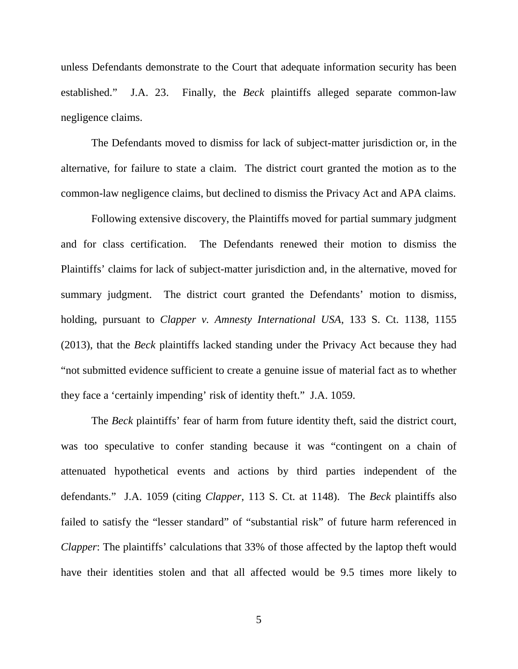unless Defendants demonstrate to the Court that adequate information security has been established." J.A. 23. Finally, the *Beck* plaintiffs alleged separate common-law negligence claims.

The Defendants moved to dismiss for lack of subject-matter jurisdiction or, in the alternative, for failure to state a claim. The district court granted the motion as to the common-law negligence claims, but declined to dismiss the Privacy Act and APA claims.

Following extensive discovery, the Plaintiffs moved for partial summary judgment and for class certification. The Defendants renewed their motion to dismiss the Plaintiffs' claims for lack of subject-matter jurisdiction and, in the alternative, moved for summary judgment. The district court granted the Defendants' motion to dismiss, holding, pursuant to *Clapper v. Amnesty International USA*, 133 S. Ct. 1138, 1155 (2013), that the *Beck* plaintiffs lacked standing under the Privacy Act because they had "not submitted evidence sufficient to create a genuine issue of material fact as to whether they face a 'certainly impending' risk of identity theft." J.A. 1059.

The *Beck* plaintiffs' fear of harm from future identity theft, said the district court, was too speculative to confer standing because it was "contingent on a chain of attenuated hypothetical events and actions by third parties independent of the defendants." J.A. 1059 (citing *Clapper*, 113 S. Ct. at 1148). The *Beck* plaintiffs also failed to satisfy the "lesser standard" of "substantial risk" of future harm referenced in *Clapper*: The plaintiffs' calculations that 33% of those affected by the laptop theft would have their identities stolen and that all affected would be 9.5 times more likely to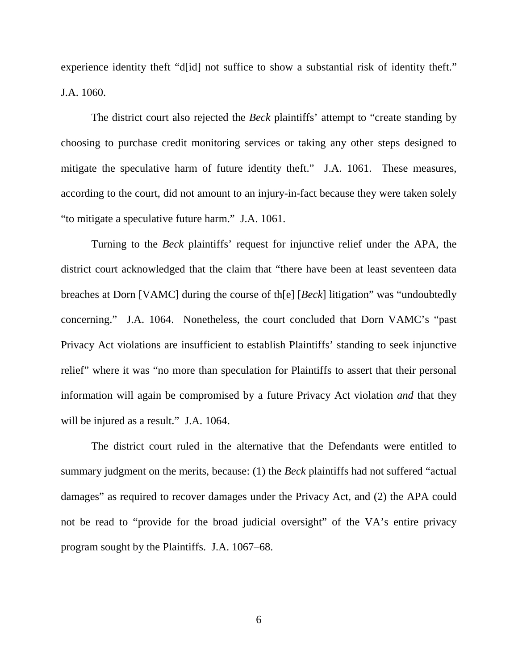experience identity theft "d[id] not suffice to show a substantial risk of identity theft." J.A. 1060.

The district court also rejected the *Beck* plaintiffs' attempt to "create standing by choosing to purchase credit monitoring services or taking any other steps designed to mitigate the speculative harm of future identity theft." J.A. 1061. These measures, according to the court, did not amount to an injury-in-fact because they were taken solely "to mitigate a speculative future harm." J.A. 1061.

Turning to the *Beck* plaintiffs' request for injunctive relief under the APA, the district court acknowledged that the claim that "there have been at least seventeen data breaches at Dorn [VAMC] during the course of th[e] [*Beck*] litigation" was "undoubtedly concerning." J.A. 1064. Nonetheless, the court concluded that Dorn VAMC's "past Privacy Act violations are insufficient to establish Plaintiffs' standing to seek injunctive relief" where it was "no more than speculation for Plaintiffs to assert that their personal information will again be compromised by a future Privacy Act violation *and* that they will be injured as a result." J.A. 1064.

The district court ruled in the alternative that the Defendants were entitled to summary judgment on the merits, because: (1) the *Beck* plaintiffs had not suffered "actual damages" as required to recover damages under the Privacy Act, and (2) the APA could not be read to "provide for the broad judicial oversight" of the VA's entire privacy program sought by the Plaintiffs. J.A. 1067–68.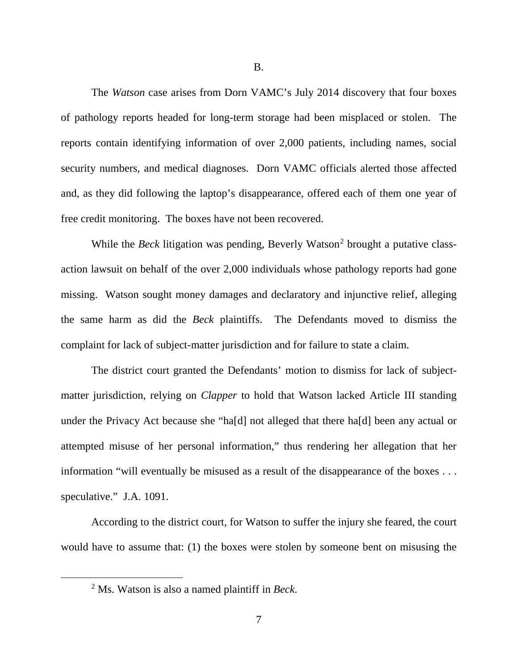B.

The *Watson* case arises from Dorn VAMC's July 2014 discovery that four boxes of pathology reports headed for long-term storage had been misplaced or stolen. The reports contain identifying information of over 2,000 patients, including names, social security numbers, and medical diagnoses. Dorn VAMC officials alerted those affected and, as they did following the laptop's disappearance, offered each of them one year of free credit monitoring. The boxes have not been recovered.

While the *Beck* litigation was pending, Beverly Watson<sup>[2](#page-6-0)</sup> brought a putative classaction lawsuit on behalf of the over 2,000 individuals whose pathology reports had gone missing. Watson sought money damages and declaratory and injunctive relief, alleging the same harm as did the *Beck* plaintiffs. The Defendants moved to dismiss the complaint for lack of subject-matter jurisdiction and for failure to state a claim.

The district court granted the Defendants' motion to dismiss for lack of subjectmatter jurisdiction, relying on *Clapper* to hold that Watson lacked Article III standing under the Privacy Act because she "ha[d] not alleged that there ha[d] been any actual or attempted misuse of her personal information," thus rendering her allegation that her information "will eventually be misused as a result of the disappearance of the boxes . . . speculative." J.A. 1091.

<span id="page-6-0"></span>According to the district court, for Watson to suffer the injury she feared, the court would have to assume that: (1) the boxes were stolen by someone bent on misusing the

 <sup>2</sup> Ms. Watson is also a named plaintiff in *Beck*.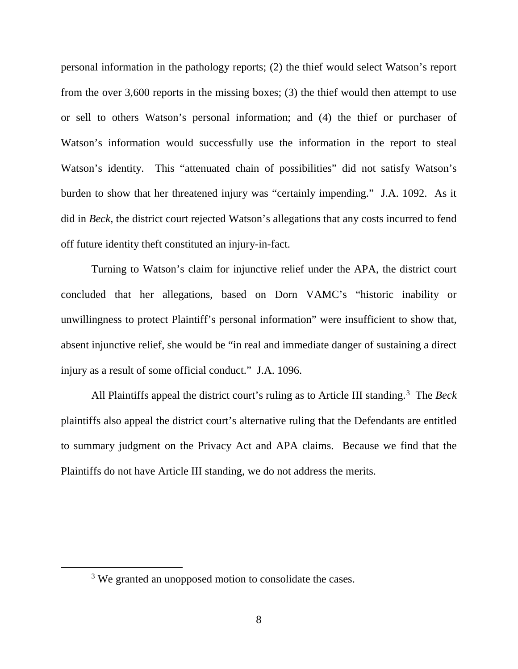personal information in the pathology reports; (2) the thief would select Watson's report from the over 3,600 reports in the missing boxes; (3) the thief would then attempt to use or sell to others Watson's personal information; and (4) the thief or purchaser of Watson's information would successfully use the information in the report to steal Watson's identity. This "attenuated chain of possibilities" did not satisfy Watson's burden to show that her threatened injury was "certainly impending." J.A. 1092. As it did in *Beck*, the district court rejected Watson's allegations that any costs incurred to fend off future identity theft constituted an injury-in-fact.

Turning to Watson's claim for injunctive relief under the APA, the district court concluded that her allegations, based on Dorn VAMC's "historic inability or unwillingness to protect Plaintiff's personal information" were insufficient to show that, absent injunctive relief, she would be "in real and immediate danger of sustaining a direct injury as a result of some official conduct." J.A. 1096.

All Plaintiffs appeal the district court's ruling as to Article III standing.<sup>[3](#page-7-0)</sup> The *Beck* plaintiffs also appeal the district court's alternative ruling that the Defendants are entitled to summary judgment on the Privacy Act and APA claims. Because we find that the Plaintiffs do not have Article III standing, we do not address the merits.

<span id="page-7-0"></span><sup>&</sup>lt;sup>3</sup> We granted an unopposed motion to consolidate the cases.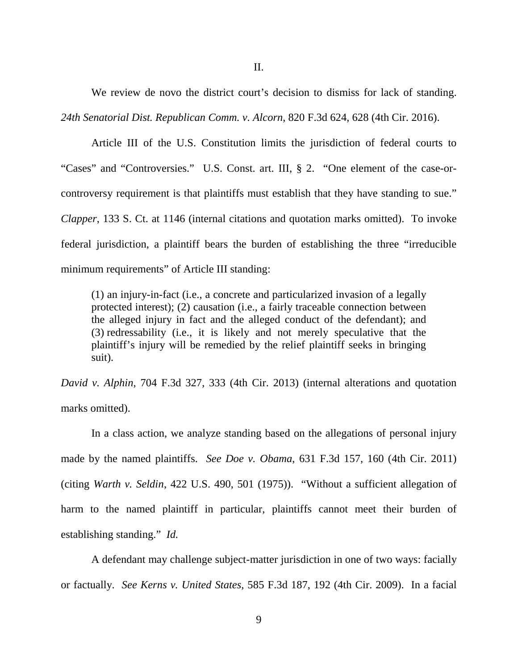II.

We review de novo the district court's decision to dismiss for lack of standing. *24th Senatorial Dist. Republican Comm. v. Alcorn*, 820 F.3d 624, 628 (4th Cir. 2016).

Article III of the U.S. Constitution limits the jurisdiction of federal courts to "Cases" and "Controversies." U.S. Const. art. III, § 2. "One element of the case-orcontroversy requirement is that plaintiffs must establish that they have standing to sue." *Clapper*, 133 S. Ct. at 1146 (internal citations and quotation marks omitted). To invoke federal jurisdiction, a plaintiff bears the burden of establishing the three "irreducible minimum requirements" of Article III standing:

(1) an injury-in-fact (i.e., a concrete and particularized invasion of a legally protected interest); (2) causation (i.e., a fairly traceable connection between the alleged injury in fact and the alleged conduct of the defendant); and (3) redressability (i.e., it is likely and not merely speculative that the plaintiff's injury will be remedied by the relief plaintiff seeks in bringing suit).

*David v. Alphin*, 704 F.3d 327, 333 (4th Cir. 2013) (internal alterations and quotation marks omitted).

In a class action, we analyze standing based on the allegations of personal injury made by the named plaintiffs. *See Doe v. Obama*, 631 F.3d 157, 160 (4th Cir. 2011) (citing *Warth v. Seldin*, 422 U.S. 490, 501 (1975)). "Without a sufficient allegation of harm to the named plaintiff in particular, plaintiffs cannot meet their burden of establishing standing." *Id.*

A defendant may challenge subject-matter jurisdiction in one of two ways: facially or factually. *See Kerns v. United States*, 585 F.3d 187, 192 (4th Cir. 2009). In a facial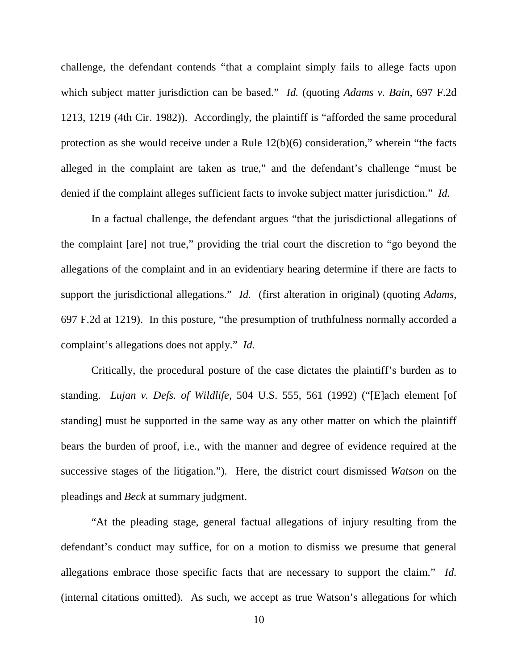challenge, the defendant contends "that a complaint simply fails to allege facts upon which subject matter jurisdiction can be based." *Id.* (quoting *Adams v. Bain*, 697 F.2d 1213, 1219 (4th Cir. 1982)). Accordingly, the plaintiff is "afforded the same procedural protection as she would receive under a Rule 12(b)(6) consideration," wherein "the facts alleged in the complaint are taken as true," and the defendant's challenge "must be denied if the complaint alleges sufficient facts to invoke subject matter jurisdiction." *Id.*

In a factual challenge, the defendant argues "that the jurisdictional allegations of the complaint [are] not true," providing the trial court the discretion to "go beyond the allegations of the complaint and in an evidentiary hearing determine if there are facts to support the jurisdictional allegations." *Id.* (first alteration in original) (quoting *Adams*, 697 F.2d at 1219). In this posture, "the presumption of truthfulness normally accorded a complaint's allegations does not apply." *Id.*

Critically, the procedural posture of the case dictates the plaintiff's burden as to standing. *Lujan v. Defs. of Wildlife*, 504 U.S. 555, 561 (1992) ("[E]ach element [of standing] must be supported in the same way as any other matter on which the plaintiff bears the burden of proof, i.e., with the manner and degree of evidence required at the successive stages of the litigation."). Here, the district court dismissed *Watson* on the pleadings and *Beck* at summary judgment.

"At the pleading stage, general factual allegations of injury resulting from the defendant's conduct may suffice, for on a motion to dismiss we presume that general allegations embrace those specific facts that are necessary to support the claim." *Id.* (internal citations omitted). As such, we accept as true Watson's allegations for which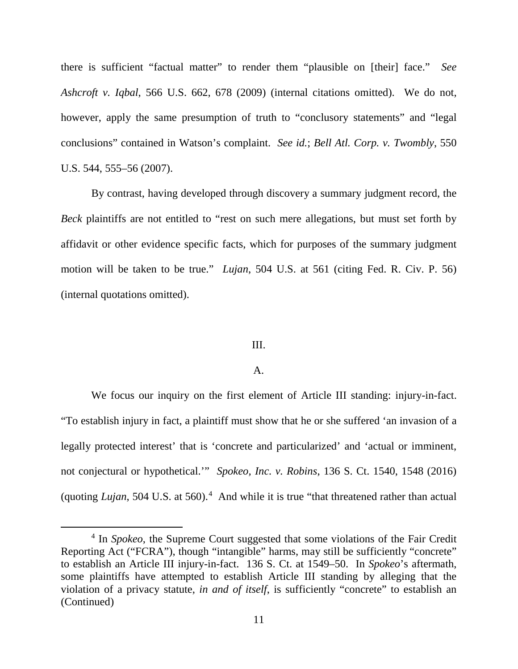there is sufficient "factual matter" to render them "plausible on [their] face." *See Ashcroft v. Iqbal*, 566 U.S. 662, 678 (2009) (internal citations omitted). We do not, however, apply the same presumption of truth to "conclusory statements" and "legal conclusions" contained in Watson's complaint. *See id.*; *Bell Atl. Corp. v. Twombly*, 550 U.S. 544, 555–56 (2007).

By contrast, having developed through discovery a summary judgment record, the *Beck* plaintiffs are not entitled to "rest on such mere allegations, but must set forth by affidavit or other evidence specific facts, which for purposes of the summary judgment motion will be taken to be true." *Lujan*, 504 U.S. at 561 (citing Fed. R. Civ. P. 56) (internal quotations omitted).

#### III.

#### A.

We focus our inquiry on the first element of Article III standing: injury-in-fact. "To establish injury in fact, a plaintiff must show that he or she suffered 'an invasion of a legally protected interest' that is 'concrete and particularized' and 'actual or imminent, not conjectural or hypothetical.'" *Spokeo, Inc. v. Robins*, 136 S. Ct. 1540, 1548 (2016) (quoting *Lujan*, 50[4](#page-10-0) U.S. at 560).<sup>4</sup> And while it is true "that threatened rather than actual

<span id="page-10-0"></span> <sup>4</sup> In *Spokeo*, the Supreme Court suggested that some violations of the Fair Credit Reporting Act ("FCRA"), though "intangible" harms, may still be sufficiently "concrete" to establish an Article III injury-in-fact. 136 S. Ct. at 1549–50. In *Spokeo*'s aftermath, some plaintiffs have attempted to establish Article III standing by alleging that the violation of a privacy statute, *in and of itself*, is sufficiently "concrete" to establish an (Continued)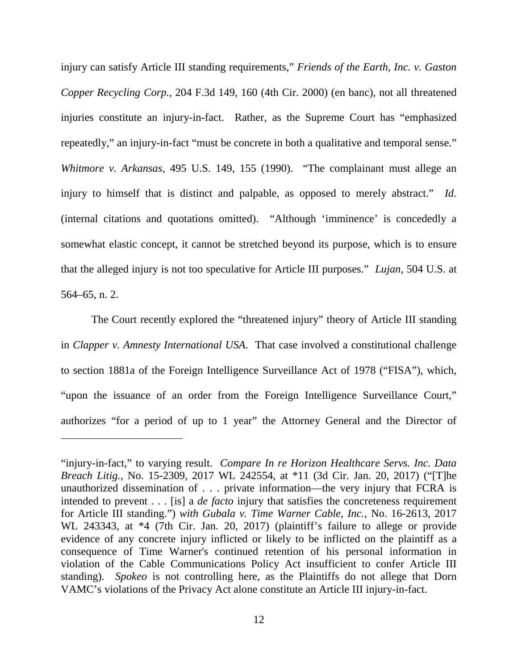injury can satisfy Article III standing requirements," *Friends of the Earth, Inc. v. Gaston Copper Recycling Corp.*, 204 F.3d 149, 160 (4th Cir. 2000) (en banc), not all threatened injuries constitute an injury-in-fact. Rather, as the Supreme Court has "emphasized repeatedly," an injury-in-fact "must be concrete in both a qualitative and temporal sense." *Whitmore v. Arkansas*, 495 U.S. 149, 155 (1990). "The complainant must allege an injury to himself that is distinct and palpable, as opposed to merely abstract." *Id.* (internal citations and quotations omitted). "Although 'imminence' is concededly a somewhat elastic concept, it cannot be stretched beyond its purpose, which is to ensure that the alleged injury is not too speculative for Article III purposes." *Lujan*, 504 U.S. at 564–65, n. 2.

The Court recently explored the "threatened injury" theory of Article III standing in *Clapper v. Amnesty International USA*. That case involved a constitutional challenge to section 1881a of the Foreign Intelligence Surveillance Act of 1978 ("FISA"), which, "upon the issuance of an order from the Foreign Intelligence Surveillance Court," authorizes "for a period of up to 1 year" the Attorney General and the Director of

 $\overline{a}$ 

<sup>&</sup>quot;injury-in-fact," to varying result. *Compare In re Horizon Healthcare Servs. Inc. Data Breach Litig.*, No. 15-2309, 2017 WL 242554, at \*11 (3d Cir. Jan. 20, 2017) ("[T]he unauthorized dissemination of . . . private information—the very injury that FCRA is intended to prevent . . . [is] a *de facto* injury that satisfies the concreteness requirement for Article III standing.") *with Gubala v. Time Warner Cable, Inc.*, No. 16-2613, 2017 WL 243343, at \*4 (7th Cir. Jan. 20, 2017) (plaintiff's failure to allege or provide evidence of any concrete injury inflicted or likely to be inflicted on the plaintiff as a consequence of Time Warner's continued retention of his personal information in violation of the Cable Communications Policy Act insufficient to confer Article III standing). *Spokeo* is not controlling here, as the Plaintiffs do not allege that Dorn VAMC's violations of the Privacy Act alone constitute an Article III injury-in-fact.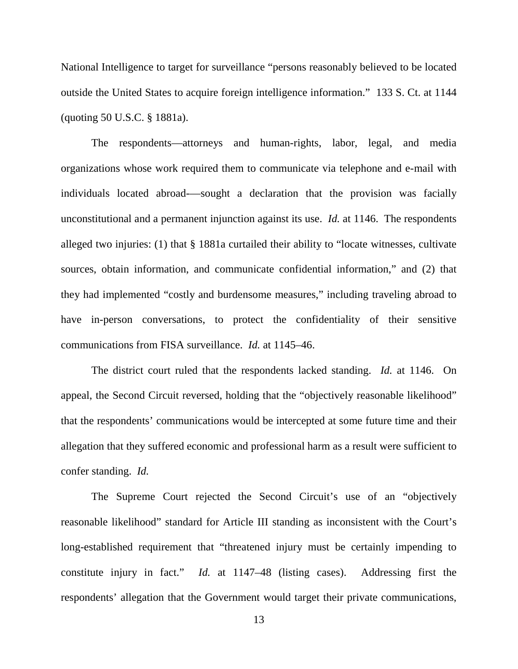National Intelligence to target for surveillance "persons reasonably believed to be located outside the United States to acquire foreign intelligence information." 133 S. Ct. at 1144 (quoting 50 U.S.C. § 1881a).

The respondents—attorneys and human-rights, labor, legal, and media organizations whose work required them to communicate via telephone and e-mail with individuals located abroad-—sought a declaration that the provision was facially unconstitutional and a permanent injunction against its use. *Id.* at 1146. The respondents alleged two injuries: (1) that § 1881a curtailed their ability to "locate witnesses, cultivate sources, obtain information, and communicate confidential information," and (2) that they had implemented "costly and burdensome measures," including traveling abroad to have in-person conversations, to protect the confidentiality of their sensitive communications from FISA surveillance. *Id.* at 1145–46.

The district court ruled that the respondents lacked standing. *Id.* at 1146. On appeal, the Second Circuit reversed, holding that the "objectively reasonable likelihood" that the respondents' communications would be intercepted at some future time and their allegation that they suffered economic and professional harm as a result were sufficient to confer standing. *Id.*

The Supreme Court rejected the Second Circuit's use of an "objectively reasonable likelihood" standard for Article III standing as inconsistent with the Court's long-established requirement that "threatened injury must be certainly impending to constitute injury in fact." *Id.* at 1147–48 (listing cases). Addressing first the respondents' allegation that the Government would target their private communications,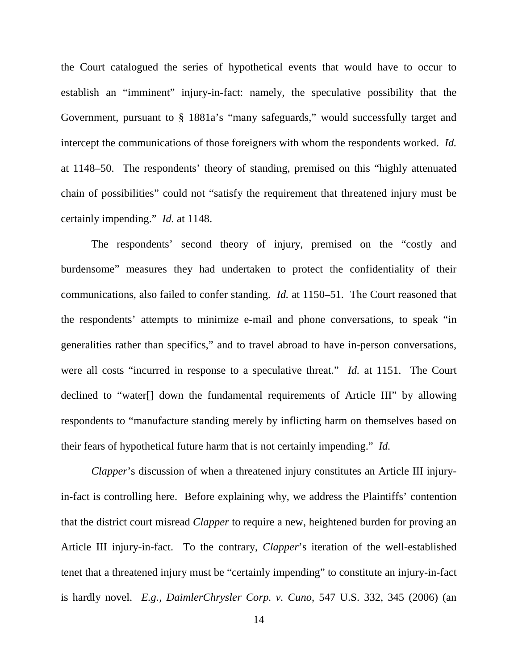the Court catalogued the series of hypothetical events that would have to occur to establish an "imminent" injury-in-fact: namely, the speculative possibility that the Government, pursuant to § 1881a's "many safeguards," would successfully target and intercept the communications of those foreigners with whom the respondents worked. *Id.* at 1148–50. The respondents' theory of standing, premised on this "highly attenuated chain of possibilities" could not "satisfy the requirement that threatened injury must be certainly impending." *Id.* at 1148.

The respondents' second theory of injury, premised on the "costly and burdensome" measures they had undertaken to protect the confidentiality of their communications, also failed to confer standing. *Id.* at 1150–51. The Court reasoned that the respondents' attempts to minimize e-mail and phone conversations, to speak "in generalities rather than specifics," and to travel abroad to have in-person conversations, were all costs "incurred in response to a speculative threat." *Id.* at 1151. The Court declined to "water[] down the fundamental requirements of Article III" by allowing respondents to "manufacture standing merely by inflicting harm on themselves based on their fears of hypothetical future harm that is not certainly impending." *Id.*

*Clapper*'s discussion of when a threatened injury constitutes an Article III injuryin-fact is controlling here. Before explaining why, we address the Plaintiffs' contention that the district court misread *Clapper* to require a new, heightened burden for proving an Article III injury-in-fact. To the contrary, *Clapper*'s iteration of the well-established tenet that a threatened injury must be "certainly impending" to constitute an injury-in-fact is hardly novel. *E.g.*, *DaimlerChrysler Corp. v. Cuno*, 547 U.S. 332, 345 (2006) (an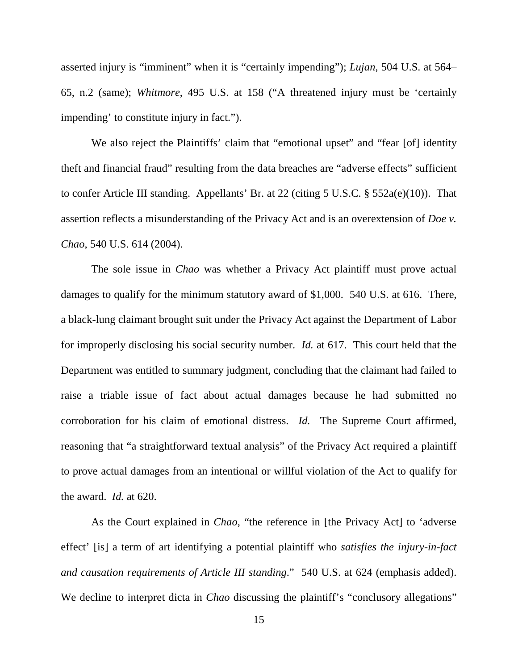asserted injury is "imminent" when it is "certainly impending"); *Lujan*, 504 U.S. at 564– 65, n.2 (same); *Whitmore*, 495 U.S. at 158 ("A threatened injury must be 'certainly impending' to constitute injury in fact.").

We also reject the Plaintiffs' claim that "emotional upset" and "fear [of] identity theft and financial fraud" resulting from the data breaches are "adverse effects" sufficient to confer Article III standing. Appellants' Br. at 22 (citing 5 U.S.C. § 552a(e)(10)). That assertion reflects a misunderstanding of the Privacy Act and is an overextension of *Doe v. Chao*, 540 U.S. 614 (2004).

The sole issue in *Chao* was whether a Privacy Act plaintiff must prove actual damages to qualify for the minimum statutory award of \$1,000. 540 U.S. at 616. There, a black-lung claimant brought suit under the Privacy Act against the Department of Labor for improperly disclosing his social security number. *Id.* at 617. This court held that the Department was entitled to summary judgment, concluding that the claimant had failed to raise a triable issue of fact about actual damages because he had submitted no corroboration for his claim of emotional distress. *Id.* The Supreme Court affirmed, reasoning that "a straightforward textual analysis" of the Privacy Act required a plaintiff to prove actual damages from an intentional or willful violation of the Act to qualify for the award. *Id.* at 620.

As the Court explained in *Chao*, "the reference in [the Privacy Act] to 'adverse effect' [is] a term of art identifying a potential plaintiff who *satisfies the injury-in-fact and causation requirements of Article III standing*." 540 U.S. at 624 (emphasis added). We decline to interpret dicta in *Chao* discussing the plaintiff's "conclusory allegations"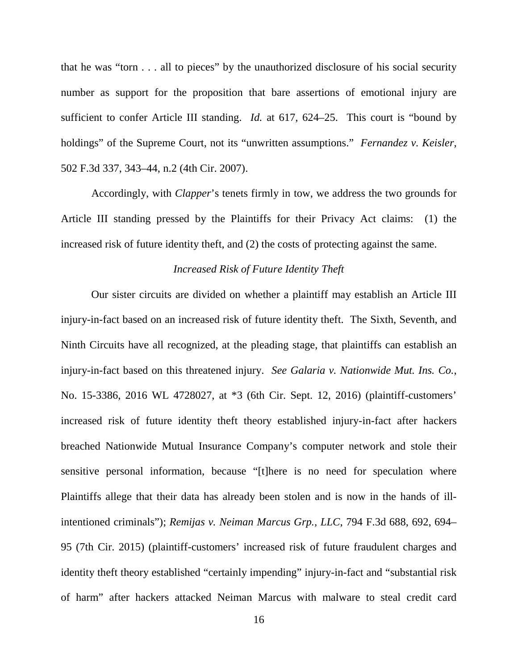that he was "torn . . . all to pieces" by the unauthorized disclosure of his social security number as support for the proposition that bare assertions of emotional injury are sufficient to confer Article III standing. *Id.* at 617, 624–25. This court is "bound by holdings" of the Supreme Court, not its "unwritten assumptions." *Fernandez v. Keisler*, 502 F.3d 337, 343–44, n.2 (4th Cir. 2007).

Accordingly, with *Clapper*'s tenets firmly in tow, we address the two grounds for Article III standing pressed by the Plaintiffs for their Privacy Act claims: (1) the increased risk of future identity theft, and (2) the costs of protecting against the same.

# *Increased Risk of Future Identity Theft*

Our sister circuits are divided on whether a plaintiff may establish an Article III injury-in-fact based on an increased risk of future identity theft. The Sixth, Seventh, and Ninth Circuits have all recognized, at the pleading stage, that plaintiffs can establish an injury-in-fact based on this threatened injury. *See Galaria v. Nationwide Mut. Ins. Co.*, No. 15-3386, 2016 WL 4728027, at \*3 (6th Cir. Sept. 12, 2016) (plaintiff-customers' increased risk of future identity theft theory established injury-in-fact after hackers breached Nationwide Mutual Insurance Company's computer network and stole their sensitive personal information, because "[t]here is no need for speculation where Plaintiffs allege that their data has already been stolen and is now in the hands of illintentioned criminals"); *Remijas v. Neiman Marcus Grp., LLC*, 794 F.3d 688, 692, 694– 95 (7th Cir. 2015) (plaintiff-customers' increased risk of future fraudulent charges and identity theft theory established "certainly impending" injury-in-fact and "substantial risk of harm" after hackers attacked Neiman Marcus with malware to steal credit card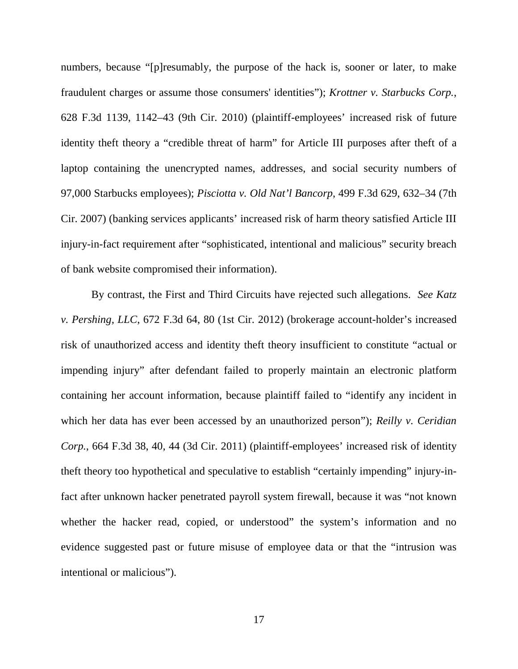numbers, because "[p]resumably, the purpose of the hack is, sooner or later, to make fraudulent charges or assume those consumers' identities"); *Krottner v. Starbucks Corp.*, 628 F.3d 1139, 1142–43 (9th Cir. 2010) (plaintiff-employees' increased risk of future identity theft theory a "credible threat of harm" for Article III purposes after theft of a laptop containing the unencrypted names, addresses, and social security numbers of 97,000 Starbucks employees); *Pisciotta v. Old Nat'l Bancorp*, 499 F.3d 629, 632–34 (7th Cir. 2007) (banking services applicants' increased risk of harm theory satisfied Article III injury-in-fact requirement after "sophisticated, intentional and malicious" security breach of bank website compromised their information).

By contrast, the First and Third Circuits have rejected such allegations. *See Katz v. Pershing, LLC*, 672 F.3d 64, 80 (1st Cir. 2012) (brokerage account-holder's increased risk of unauthorized access and identity theft theory insufficient to constitute "actual or impending injury" after defendant failed to properly maintain an electronic platform containing her account information, because plaintiff failed to "identify any incident in which her data has ever been accessed by an unauthorized person"); *Reilly v. Ceridian Corp.*, 664 F.3d 38, 40, 44 (3d Cir. 2011) (plaintiff-employees' increased risk of identity theft theory too hypothetical and speculative to establish "certainly impending" injury-infact after unknown hacker penetrated payroll system firewall, because it was "not known whether the hacker read, copied, or understood" the system's information and no evidence suggested past or future misuse of employee data or that the "intrusion was intentional or malicious").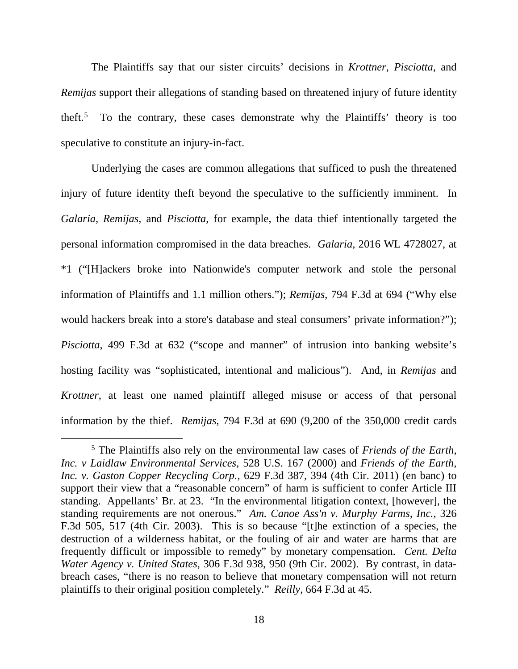The Plaintiffs say that our sister circuits' decisions in *Krottner*, *Pisciotta*, and *Remijas* support their allegations of standing based on threatened injury of future identity theft.[5](#page-17-0) To the contrary, these cases demonstrate why the Plaintiffs' theory is too speculative to constitute an injury-in-fact.

Underlying the cases are common allegations that sufficed to push the threatened injury of future identity theft beyond the speculative to the sufficiently imminent. In *Galaria*, *Remijas*, and *Pisciotta*, for example, the data thief intentionally targeted the personal information compromised in the data breaches. *Galaria*, 2016 WL 4728027, at \*1 ("[H]ackers broke into Nationwide's computer network and stole the personal information of Plaintiffs and 1.1 million others."); *Remijas*, 794 F.3d at 694 ("Why else would hackers break into a store's database and steal consumers' private information?"); *Pisciotta*, 499 F.3d at 632 ("scope and manner" of intrusion into banking website's hosting facility was "sophisticated, intentional and malicious"). And, in *Remijas* and *Krottner*, at least one named plaintiff alleged misuse or access of that personal information by the thief. *Remijas*, 794 F.3d at 690 (9,200 of the 350,000 credit cards

<span id="page-17-0"></span> <sup>5</sup> The Plaintiffs also rely on the environmental law cases of *Friends of the Earth, Inc. v Laidlaw Environmental Services*, 528 U.S. 167 (2000) and *Friends of the Earth, Inc. v. Gaston Copper Recycling Corp.*, 629 F.3d 387, 394 (4th Cir. 2011) (en banc) to support their view that a "reasonable concern" of harm is sufficient to confer Article III standing. Appellants' Br. at 23. "In the environmental litigation context, [however], the standing requirements are not onerous." *Am. Canoe Ass'n v. Murphy Farms, Inc.*, 326 F.3d 505, 517 (4th Cir. 2003). This is so because "[t]he extinction of a species, the destruction of a wilderness habitat, or the fouling of air and water are harms that are frequently difficult or impossible to remedy" by monetary compensation. *Cent. Delta Water Agency v. United States*, 306 F.3d 938, 950 (9th Cir. 2002). By contrast, in databreach cases, "there is no reason to believe that monetary compensation will not return plaintiffs to their original position completely." *Reilly*, 664 F.3d at 45.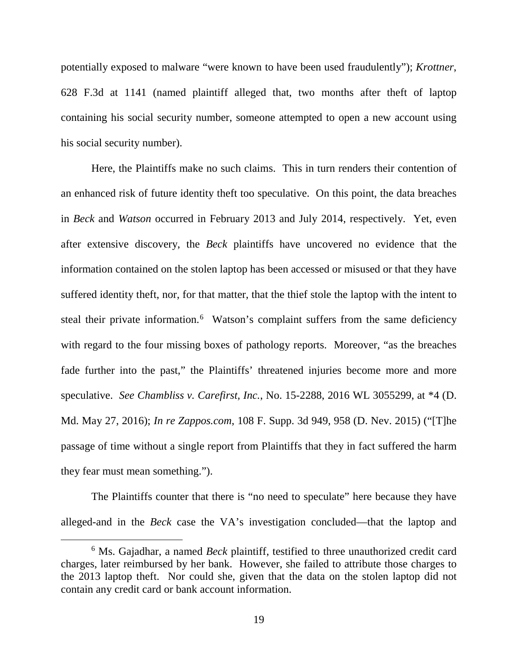potentially exposed to malware "were known to have been used fraudulently"); *Krottner*, 628 F.3d at 1141 (named plaintiff alleged that, two months after theft of laptop containing his social security number, someone attempted to open a new account using his social security number).

Here, the Plaintiffs make no such claims. This in turn renders their contention of an enhanced risk of future identity theft too speculative. On this point, the data breaches in *Beck* and *Watson* occurred in February 2013 and July 2014, respectively. Yet, even after extensive discovery, the *Beck* plaintiffs have uncovered no evidence that the information contained on the stolen laptop has been accessed or misused or that they have suffered identity theft, nor, for that matter, that the thief stole the laptop with the intent to steal their private information.<sup>[6](#page-18-0)</sup> Watson's complaint suffers from the same deficiency with regard to the four missing boxes of pathology reports. Moreover, "as the breaches fade further into the past," the Plaintiffs' threatened injuries become more and more speculative. *See Chambliss v. Carefirst, Inc.*, No. 15-2288, 2016 WL 3055299, at \*4 (D. Md. May 27, 2016); *In re Zappos.com*, 108 F. Supp. 3d 949, 958 (D. Nev. 2015) ("[T]he passage of time without a single report from Plaintiffs that they in fact suffered the harm they fear must mean something.").

The Plaintiffs counter that there is "no need to speculate" here because they have alleged-and in the *Beck* case the VA's investigation concluded—that the laptop and

<span id="page-18-0"></span> <sup>6</sup> Ms. Gajadhar, a named *Beck* plaintiff, testified to three unauthorized credit card charges, later reimbursed by her bank. However, she failed to attribute those charges to the 2013 laptop theft. Nor could she, given that the data on the stolen laptop did not contain any credit card or bank account information.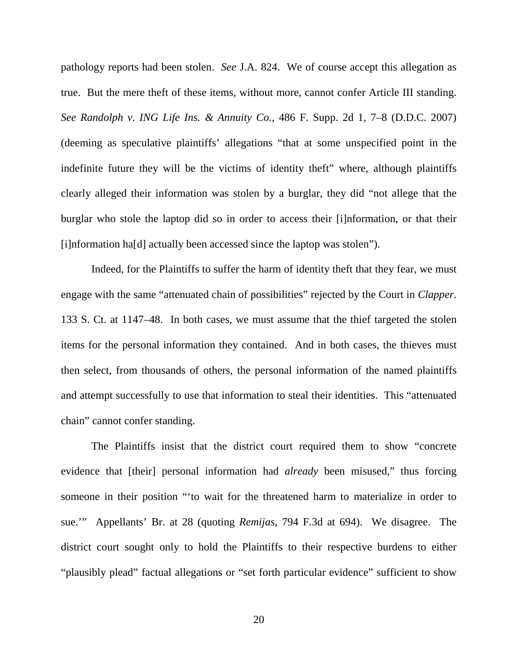pathology reports had been stolen. *See* J.A. 824. We of course accept this allegation as true. But the mere theft of these items, without more, cannot confer Article III standing. *See Randolph v. ING Life Ins. & Annuity Co.*, 486 F. Supp. 2d 1, 7–8 (D.D.C. 2007) (deeming as speculative plaintiffs' allegations "that at some unspecified point in the indefinite future they will be the victims of identity theft" where, although plaintiffs clearly alleged their information was stolen by a burglar, they did "not allege that the burglar who stole the laptop did so in order to access their [i]nformation, or that their [i]nformation ha[d] actually been accessed since the laptop was stolen").

Indeed, for the Plaintiffs to suffer the harm of identity theft that they fear, we must engage with the same "attenuated chain of possibilities" rejected by the Court in *Clapper*. 133 S. Ct. at 1147–48. In both cases, we must assume that the thief targeted the stolen items for the personal information they contained. And in both cases, the thieves must then select, from thousands of others, the personal information of the named plaintiffs and attempt successfully to use that information to steal their identities. This "attenuated chain" cannot confer standing.

The Plaintiffs insist that the district court required them to show "concrete evidence that [their] personal information had *already* been misused," thus forcing someone in their position "'to wait for the threatened harm to materialize in order to sue.'" Appellants' Br. at 28 (quoting *Remijas*, 794 F.3d at 694). We disagree. The district court sought only to hold the Plaintiffs to their respective burdens to either "plausibly plead" factual allegations or "set forth particular evidence" sufficient to show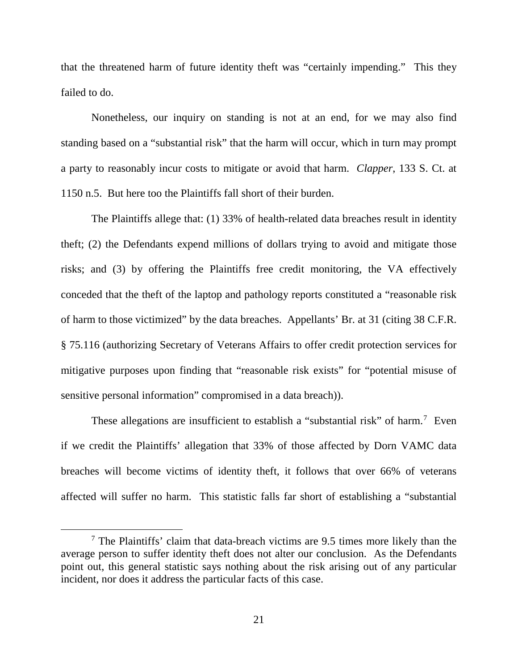that the threatened harm of future identity theft was "certainly impending." This they failed to do.

Nonetheless, our inquiry on standing is not at an end, for we may also find standing based on a "substantial risk" that the harm will occur, which in turn may prompt a party to reasonably incur costs to mitigate or avoid that harm. *Clapper*, 133 S. Ct. at 1150 n.5. But here too the Plaintiffs fall short of their burden.

The Plaintiffs allege that: (1) 33% of health-related data breaches result in identity theft; (2) the Defendants expend millions of dollars trying to avoid and mitigate those risks; and (3) by offering the Plaintiffs free credit monitoring, the VA effectively conceded that the theft of the laptop and pathology reports constituted a "reasonable risk of harm to those victimized" by the data breaches. Appellants' Br. at 31 (citing 38 C.F.R. § 75.116 (authorizing Secretary of Veterans Affairs to offer credit protection services for mitigative purposes upon finding that "reasonable risk exists" for "potential misuse of sensitive personal information" compromised in a data breach)).

These allegations are insufficient to establish a "substantial risk" of harm.<sup>[7](#page-20-0)</sup> Even if we credit the Plaintiffs' allegation that 33% of those affected by Dorn VAMC data breaches will become victims of identity theft, it follows that over 66% of veterans affected will suffer no harm. This statistic falls far short of establishing a "substantial

<span id="page-20-0"></span> <sup>7</sup> The Plaintiffs' claim that data-breach victims are 9.5 times more likely than the average person to suffer identity theft does not alter our conclusion. As the Defendants point out, this general statistic says nothing about the risk arising out of any particular incident, nor does it address the particular facts of this case.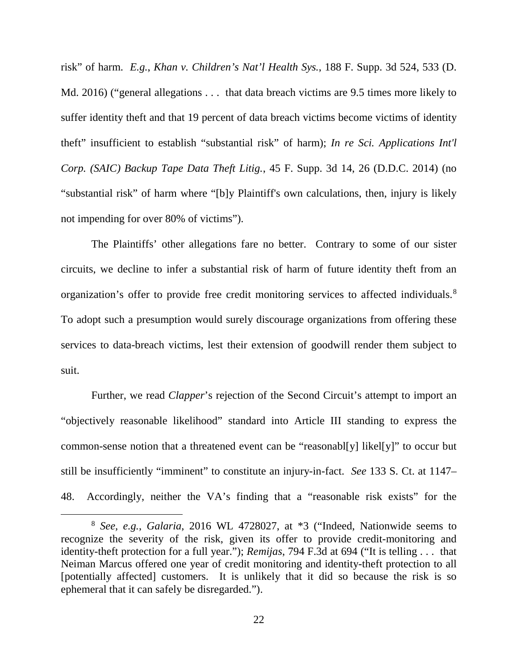risk" of harm. *E.g.*, *Khan v. Children's Nat'l Health Sys.*, 188 F. Supp. 3d 524, 533 (D. Md. 2016) ("general allegations . . . that data breach victims are 9.5 times more likely to suffer identity theft and that 19 percent of data breach victims become victims of identity theft" insufficient to establish "substantial risk" of harm); *In re Sci. Applications Int'l Corp. (SAIC) Backup Tape Data Theft Litig.*, 45 F. Supp. 3d 14, 26 (D.D.C. 2014) (no "substantial risk" of harm where "[b]y Plaintiff's own calculations, then, injury is likely not impending for over 80% of victims").

The Plaintiffs' other allegations fare no better. Contrary to some of our sister circuits, we decline to infer a substantial risk of harm of future identity theft from an organization's offer to provide free credit monitoring services to affected individuals.<sup>[8](#page-21-0)</sup> To adopt such a presumption would surely discourage organizations from offering these services to data-breach victims, lest their extension of goodwill render them subject to suit.

Further, we read *Clapper*'s rejection of the Second Circuit's attempt to import an "objectively reasonable likelihood" standard into Article III standing to express the common-sense notion that a threatened event can be "reasonabl[y] likel[y]" to occur but still be insufficiently "imminent" to constitute an injury-in-fact. *See* 133 S. Ct. at 1147– 48. Accordingly, neither the VA's finding that a "reasonable risk exists" for the

<span id="page-21-0"></span> <sup>8</sup> *See, e.g.*, *Galaria*, 2016 WL 4728027, at \*3 ("Indeed, Nationwide seems to recognize the severity of the risk, given its offer to provide credit-monitoring and identity-theft protection for a full year."); *Remijas*, 794 F.3d at 694 ("It is telling . . . that Neiman Marcus offered one year of credit monitoring and identity-theft protection to all [potentially affected] customers. It is unlikely that it did so because the risk is so ephemeral that it can safely be disregarded.").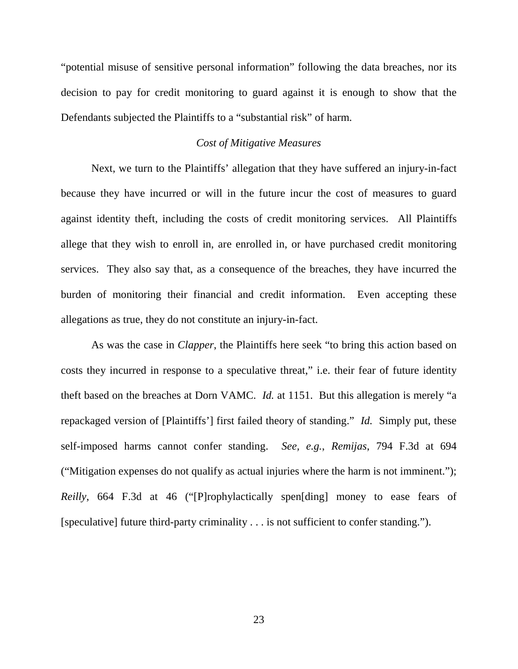"potential misuse of sensitive personal information" following the data breaches, nor its decision to pay for credit monitoring to guard against it is enough to show that the Defendants subjected the Plaintiffs to a "substantial risk" of harm.

## *Cost of Mitigative Measures*

Next, we turn to the Plaintiffs' allegation that they have suffered an injury-in-fact because they have incurred or will in the future incur the cost of measures to guard against identity theft, including the costs of credit monitoring services. All Plaintiffs allege that they wish to enroll in, are enrolled in, or have purchased credit monitoring services. They also say that, as a consequence of the breaches, they have incurred the burden of monitoring their financial and credit information. Even accepting these allegations as true, they do not constitute an injury-in-fact.

As was the case in *Clapper*, the Plaintiffs here seek "to bring this action based on costs they incurred in response to a speculative threat," i.e. their fear of future identity theft based on the breaches at Dorn VAMC. *Id.* at 1151. But this allegation is merely "a repackaged version of [Plaintiffs'] first failed theory of standing." *Id.* Simply put, these self-imposed harms cannot confer standing. *See, e.g.*, *Remijas*, 794 F.3d at 694 ("Mitigation expenses do not qualify as actual injuries where the harm is not imminent."); *Reilly*, 664 F.3d at 46 ("[P]rophylactically spen[ding] money to ease fears of [speculative] future third-party criminality . . . is not sufficient to confer standing.").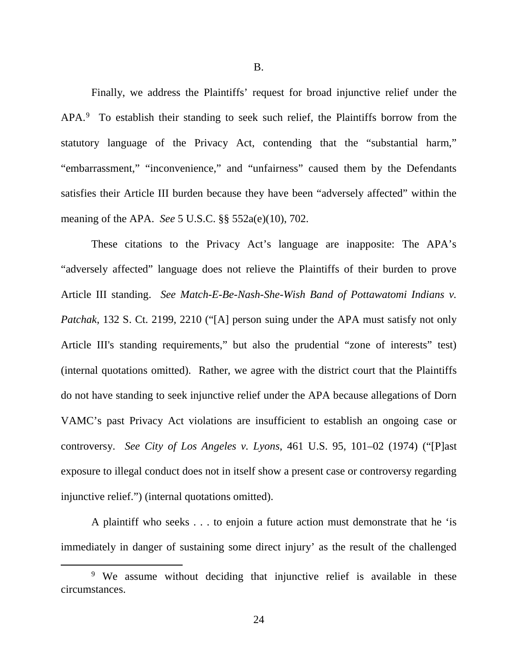B.

Finally, we address the Plaintiffs' request for broad injunctive relief under the APA.<sup>[9](#page-23-0)</sup> To establish their standing to seek such relief, the Plaintiffs borrow from the statutory language of the Privacy Act, contending that the "substantial harm," "embarrassment," "inconvenience," and "unfairness" caused them by the Defendants satisfies their Article III burden because they have been "adversely affected" within the meaning of the APA. *See* 5 U.S.C. §§ 552a(e)(10), 702.

These citations to the Privacy Act's language are inapposite: The APA's "adversely affected" language does not relieve the Plaintiffs of their burden to prove Article III standing. *See Match-E-Be-Nash-She-Wish Band of Pottawatomi Indians v. Patchak*, 132 S. Ct. 2199, 2210 ("[A] person suing under the APA must satisfy not only Article III's standing requirements," but also the prudential "zone of interests" test) (internal quotations omitted). Rather, we agree with the district court that the Plaintiffs do not have standing to seek injunctive relief under the APA because allegations of Dorn VAMC's past Privacy Act violations are insufficient to establish an ongoing case or controversy. *See City of Los Angeles v. Lyons*, 461 U.S. 95, 101–02 (1974) ("[P]ast exposure to illegal conduct does not in itself show a present case or controversy regarding injunctive relief.") (internal quotations omitted).

A plaintiff who seeks . . . to enjoin a future action must demonstrate that he 'is immediately in danger of sustaining some direct injury' as the result of the challenged

<span id="page-23-0"></span><sup>&</sup>lt;sup>9</sup> We assume without deciding that injunctive relief is available in these circumstances.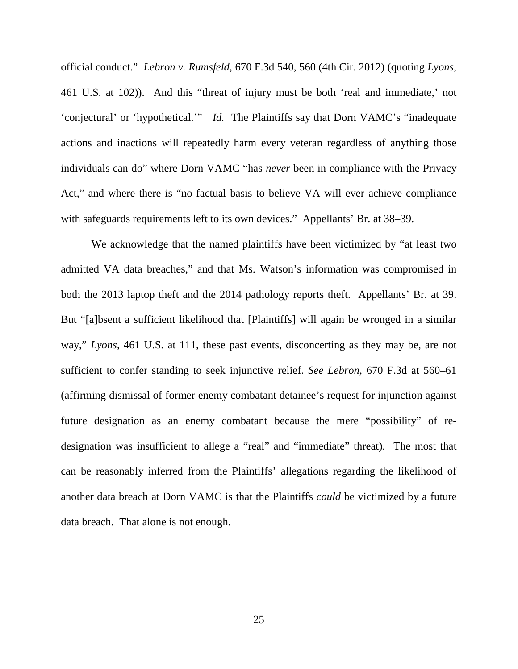official conduct." *Lebron v. Rumsfeld*, 670 F.3d 540, 560 (4th Cir. 2012) (quoting *Lyons*, 461 U.S. at 102)). And this "threat of injury must be both 'real and immediate,' not 'conjectural' or 'hypothetical.'" *Id.* The Plaintiffs say that Dorn VAMC's "inadequate actions and inactions will repeatedly harm every veteran regardless of anything those individuals can do" where Dorn VAMC "has *never* been in compliance with the Privacy Act," and where there is "no factual basis to believe VA will ever achieve compliance with safeguards requirements left to its own devices." Appellants' Br. at 38–39.

We acknowledge that the named plaintiffs have been victimized by "at least two admitted VA data breaches," and that Ms. Watson's information was compromised in both the 2013 laptop theft and the 2014 pathology reports theft. Appellants' Br. at 39. But "[a]bsent a sufficient likelihood that [Plaintiffs] will again be wronged in a similar way," *Lyons*, 461 U.S. at 111, these past events, disconcerting as they may be, are not sufficient to confer standing to seek injunctive relief. *See Lebron*, 670 F.3d at 560–61 (affirming dismissal of former enemy combatant detainee's request for injunction against future designation as an enemy combatant because the mere "possibility" of redesignation was insufficient to allege a "real" and "immediate" threat). The most that can be reasonably inferred from the Plaintiffs' allegations regarding the likelihood of another data breach at Dorn VAMC is that the Plaintiffs *could* be victimized by a future data breach. That alone is not enough.